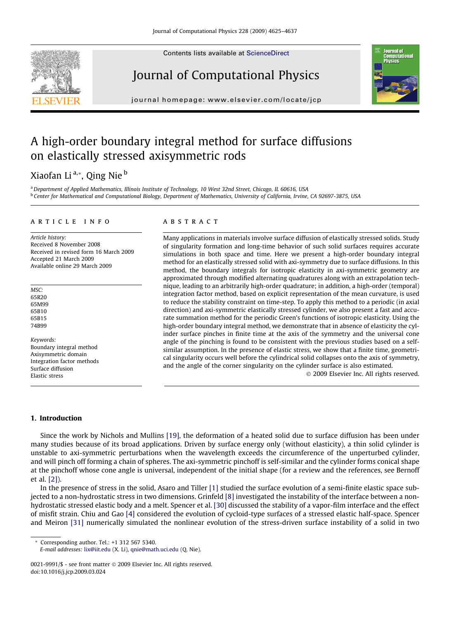Contents lists available at [ScienceDirect](http://www.sciencedirect.com/science/journal/00219991)







journal homepage: [www.elsevier.com/locate/jcp](http://www.elsevier.com/locate/jcp)

# A high-order boundary integral method for surface diffusions on elastically stressed axisymmetric rods

# Xiaofan Li<sup>a,\*</sup>, Qing Nie<sup>b</sup>

a Department of Applied Mathematics, Illinois Institute of Technology, 10 West 32nd Street, Chicago, IL 60616, USA <sup>b</sup> Center for Mathematical and Computational Biology, Department of Mathematics, University of California, Irvine, CA 92697-3875, USA

## article info

Article history: Received 8 November 2008 Received in revised form 16 March 2009 Accepted 21 March 2009 Available online 29 March 2009

MSC: 65R20 65M99 65B10 65B15 74B99

Keywords: Boundary integral method Axisymmetric domain Integration factor methods Surface diffusion Elastic stress

# **ABSTRACT**

Many applications in materials involve surface diffusion of elastically stressed solids. Study of singularity formation and long-time behavior of such solid surfaces requires accurate simulations in both space and time. Here we present a high-order boundary integral method for an elastically stressed solid with axi-symmetry due to surface diffusions. In this method, the boundary integrals for isotropic elasticity in axi-symmetric geometry are approximated through modified alternating quadratures along with an extrapolation technique, leading to an arbitrarily high-order quadrature; in addition, a high-order (temporal) integration factor method, based on explicit representation of the mean curvature, is used to reduce the stability constraint on time-step. To apply this method to a periodic (in axial direction) and axi-symmetric elastically stressed cylinder, we also present a fast and accurate summation method for the periodic Green's functions of isotropic elasticity. Using the high-order boundary integral method, we demonstrate that in absence of elasticity the cylinder surface pinches in finite time at the axis of the symmetry and the universal cone angle of the pinching is found to be consistent with the previous studies based on a selfsimilar assumption. In the presence of elastic stress, we show that a finite time, geometrical singularity occurs well before the cylindrical solid collapses onto the axis of symmetry, and the angle of the corner singularity on the cylinder surface is also estimated.

- 2009 Elsevier Inc. All rights reserved.

# 1. Introduction

Since the work by Nichols and Mullins [\[19\]](#page-12-0), the deformation of a heated solid due to surface diffusion has been under many studies because of its broad applications. Driven by surface energy only (without elasticity), a thin solid cylinder is unstable to axi-symmetric perturbations when the wavelength exceeds the circumference of the unperturbed cylinder, and will pinch off forming a chain of spheres. The axi-symmetric pinchoff is self-similar and the cylinder forms conical shape at the pinchoff whose cone angle is universal, independent of the initial shape (for a review and the references, see Bernoff et al. [\[2\]\)](#page-12-0).

In the presence of stress in the solid, Asaro and Tiller [\[1\]](#page-12-0) studied the surface evolution of a semi-finite elastic space subjected to a non-hydrostatic stress in two dimensions. Grinfeld [\[8\]](#page-12-0) investigated the instability of the interface between a nonhydrostatic stressed elastic body and a melt. Spencer et al. [\[30\]](#page-12-0) discussed the stability of a vapor-film interface and the effect of misfit strain. Chiu and Gao [\[4\]](#page-12-0) considered the evolution of cycloid-type surfaces of a stressed elastic half-space. Spencer and Meiron [\[31\]](#page-12-0) numerically simulated the nonlinear evolution of the stress-driven surface instability of a solid in two

\* Corresponding author. Tel.: +1 312 567 5340.

E-mail addresses: [lix@iit.edu](mailto:lix@iit.edu) (X. Li), [qnie@math.uci.edu](mailto:qnie@math.uci.edu) (Q. Nie).

<sup>0021-9991/\$ -</sup> see front matter © 2009 Elsevier Inc. All rights reserved. doi:10.1016/j.jcp.2009.03.024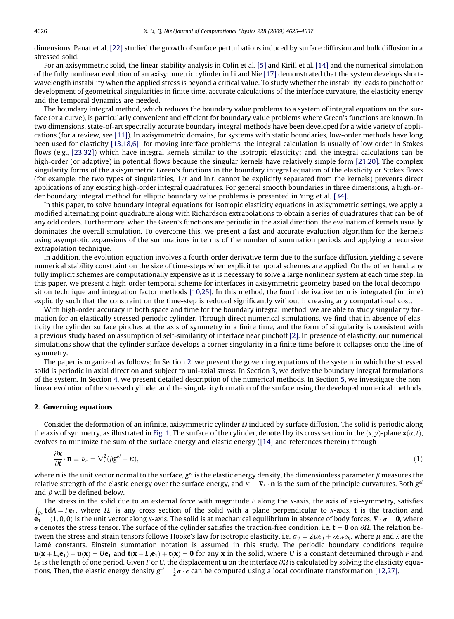<span id="page-1-0"></span>dimensions. Panat et al. [\[22\]](#page-12-0) studied the growth of surface perturbations induced by surface diffusion and bulk diffusion in a stressed solid.

For an axisymmetric solid, the linear stability analysis in Colin et al. [\[5\]](#page-12-0) and Kirill et al. [\[14\]](#page-12-0) and the numerical simulation of the fully nonlinear evolution of an axisymmetric cylinder in Li and Nie [\[17\]](#page-12-0) demonstrated that the system develops shortwavelength instability when the applied stress is beyond a critical value. To study whether the instability leads to pinchoff or development of geometrical singularities in finite time, accurate calculations of the interface curvature, the elasticity energy and the temporal dynamics are needed.

The boundary integral method, which reduces the boundary value problems to a system of integral equations on the surface (or a curve), is particularly convenient and efficient for boundary value problems where Green's functions are known. In two dimensions, state-of-art spectrally accurate boundary integral methods have been developed for a wide variety of applications (for a review, see [\[11\]](#page-12-0)). In axisymmetric domains, for systems with static boundaries, low-order methods have long been used for elasticity [\[13,18,6\]](#page-12-0); for moving interface problems, the integral calculation is usually of low order in Stokes flows (e.g., [\[23,32\]\)](#page-12-0) which have integral kernels similar to the isotropic elasticity; and, the integral calculations can be high-order (or adaptive) in potential flows because the singular kernels have relatively simple form [\[21,20\].](#page-12-0) The complex singularity forms of the axisymmetric Green's functions in the boundary integral equation of the elasticity or Stokes flows (for example, the two types of singularities,  $1/r$  and ln r, cannot be explicitly separated from the kernels) prevents direct applications of any existing high-order integral quadratures. For general smooth boundaries in three dimensions, a high-order boundary integral method for elliptic boundary value problems is presented in Ying et al. [\[34\].](#page-12-0)

In this paper, to solve boundary integral equations for isotropic elasticity equations in axisymmetric settings, we apply a modified alternating point quadrature along with Richardson extrapolations to obtain a series of quadratures that can be of any odd orders. Furthermore, when the Green's functions are periodic in the axial direction, the evaluation of kernels usually dominates the overall simulation. To overcome this, we present a fast and accurate evaluation algorithm for the kernels using asymptotic expansions of the summations in terms of the number of summation periods and applying a recursive extrapolation technique.

In addition, the evolution equation involves a fourth-order derivative term due to the surface diffusion, yielding a severe numerical stability constraint on the size of time-steps when explicit temporal schemes are applied. On the other hand, any fully implicit schemes are computationally expensive as it is necessary to solve a large nonlinear system at each time step. In this paper, we present a high-order temporal scheme for interfaces in axisymmetric geometry based on the local decomposition technique and integration factor methods [\[10,25\]](#page-12-0). In this method, the fourth derivative term is integrated (in time) explicitly such that the constraint on the time-step is reduced significantly without increasing any computational cost.

With high-order accuracy in both space and time for the boundary integral method, we are able to study singularity formation for an elastically stressed periodic cylinder. Through direct numerical simulations, we find that in absence of elasticity the cylinder surface pinches at the axis of symmetry in a finite time, and the form of singularity is consistent with a previous study based on assumption of self-similarity of interface near pinchoff [\[2\].](#page-12-0) In presence of elasticity, our numerical simulations show that the cylinder surface develops a corner singularity in a finite time before it collapses onto the line of symmetry.

The paper is organized as follows: In Section 2, we present the governing equations of the system in which the stressed solid is periodic in axial direction and subject to uni-axial stress. In Section 3, we derive the boundary integral formulations of the system. In Section 4, we present detailed description of the numerical methods. In Section 5, we investigate the nonlinear evolution of the stressed cylinder and the singularity formation of the surface using the developed numerical methods.

# 2. Governing equations

Consider the deformation of an infinite, axisymmetric cylinder  $\Omega$  induced by surface diffusion. The solid is periodic along the axis of symmetry, as illustrated in [Fig. 1.](#page-2-0) The surface of the cylinder, denoted by its cross section in the  $(x, y)$ -plane  $\mathbf{x}(\alpha, t)$ , evolves to minimize the sum of the surface energy and elastic energy [\(\[14\]](#page-12-0) and references therein) through

$$
\frac{\partial \mathbf{x}}{\partial t} \cdot \mathbf{n} \equiv \nu_n = \nabla_s^2 (\beta g^{el} - \kappa), \tag{1}
$$

where **n** is the unit vector normal to the surface,  $g^{el}$  is the elastic energy density, the dimensionless parameter  $\beta$  measures the relative strength of the elastic energy over the surface energy, and  $\kappa=\nabla_s\cdot{\bf n}$  is the sum of the principle curvatures. Both  $g^{e}$ and  $\beta$  will be defined below.

The stress in the solid due to an external force with magnitude  $F$  along the x-axis, the axis of axi-symmetry, satisfies  $\int_{\Omega_{\epsilon}} t dA = F e_1$ , where  $\Omega_{\epsilon}$  is any cross section of the solid with a plane perpendicular to x-axis, t is the traction and  ${\bf e}_1=(1,0,0)$  is the unit vector along x-axis. The solid is at mechanical equilibrium in absence of body forces,  ${\bf V}\cdot{\bf \sigma}={\bf 0}$ , where  $\sigma$  denotes the stress tensor. The surface of the cylinder satisfies the traction-free condition, i.e.  $t = 0$  on  $\partial\Omega$ . The relation between the stress and strain tensors follows Hooke's law for isotropic elasticity, i.e.  $\sigma_{ij}=2\mu\epsilon_{ij}+\lambda\epsilon_{kk}\delta_{ij}$ , where  $\mu$  and  $\lambda$  are the Lamé constants. Einstein summation notation is assumed in this study. The periodic boundary conditions require  $u(x + L_p e_1) - u(x) = Ue_1$  and  $t(x + L_p e_1) + t(x) = 0$  for any x in the solid, where U is a constant determined through F and  $L_P$  is the length of one period. Given F or U, the displacement **u** on the interface  $\partial\Omega$  is calculated by solving the elasticity equations. Then, the elastic energy density  $g^{el}=\frac{1}{2}\sigma\cdot\epsilon$  can be computed using a local coordinate transformation [\[12,27\].](#page-12-0)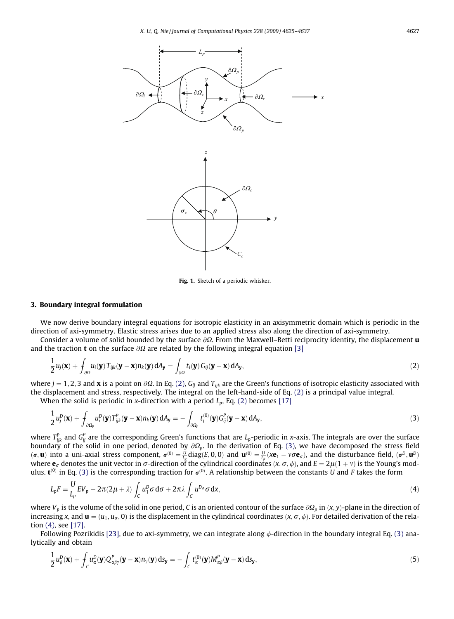<span id="page-2-0"></span>

Fig. 1. Sketch of a periodic whisker.

## 3. Boundary integral formulation

We now derive boundary integral equations for isotropic elasticity in an axisymmetric domain which is periodic in the direction of axi-symmetry. Elastic stress arises due to an applied stress also along the direction of axi-symmetry.

Consider a volume of solid bounded by the surface  $\partial\Omega$ . From the Maxwell–Betti reciprocity identity, the displacement **u** and the traction **t** on the surface  $\partial\Omega$  are related by the following integral equation [\[3\]](#page-12-0)

$$
\frac{1}{2}u_j(\mathbf{x}) + \int_{\partial\Omega} u_i(\mathbf{y}) T_{ijk}(\mathbf{y} - \mathbf{x}) n_k(\mathbf{y}) dA_{\mathbf{y}} = \int_{\partial\Omega} t_i(\mathbf{y}) G_{ij}(\mathbf{y} - \mathbf{x}) dA_{\mathbf{y}},
$$
\n(2)

where  $j = 1, 2, 3$  and **x** is a point on  $\partial\Omega$ . In Eq. (2),  $G_{ij}$  and T<sub>ijk</sub> are the Green's functions of isotropic elasticity associated with the displacement and stress, respectively. The integral on the left-hand-side of Eq. (2) is a principal value integral.

When the solid is periodic in x-direction with a period  $L_p$ , Eq. (2) becomes [\[17\]](#page-12-0)

$$
\frac{1}{2}u_j^D(\mathbf{x}) + \int_{\partial \Omega_p} u_i^D(\mathbf{y}) T_{ijk}^P(\mathbf{y} - \mathbf{x}) n_k(\mathbf{y}) dA_{\mathbf{y}} = - \int_{\partial \Omega_p} t_i^{(0)}(\mathbf{y}) G_{ij}^P(\mathbf{y} - \mathbf{x}) dA_{\mathbf{y}},
$$
\n(3)

where  $T_{ijk}^p$  and  $G_{ij}^p$  are the corresponding Green's functions that are  $L_p$ -periodic in x-axis. The integrals are over the surface boundary of the solid in one period, denoted by  $\partial\Omega_p$ . In the derivation of Eq. (3), we have decomposed the stress field  $\sigma(\sigma, \mathbf{u})$  into a uni-axial stress component,  $\sigma^{(0)} = \frac{U}{L_p}$ diag $(E, 0, 0)$  and  $\mathbf{u}^{(0)} = \frac{U}{L_p}$ ( $x\mathbf{e}_1 - v\sigma\mathbf{e}_\sigma$ ), and the disturbance field,  $(\sigma^D, \mathbf{u}^D)$ where  $\mathbf{e}_{\sigma}$  denotes the unit vector in  $\sigma$ -direction of the cylindrical coordinates  $(x,\sigma,\phi)$ , and  $E = 2\mu(1 + v)$  is the Young's modulus.  ${\bf t}^{(0)}$  in Eq. (3) is the corresponding traction for  $\sigma^{(0)}$ . A relationship between the constants U and F takes the form

$$
L_p F = \frac{U}{L_p} E V_p - 2\pi (2\mu + \lambda) \int_C u_1^D \sigma \, d\sigma + 2\pi \lambda \int_C u^{D_\sigma} \sigma \, dx,
$$
\n<sup>(4)</sup>

where  $V_p$  is the volume of the solid in one period, C is an oriented contour of the surface  $\partial \Omega_p$  in  $(x, y)$ -plane in the direction of increasing x, and  $\mathbf{u} = (u_1, u_\sigma, 0)$  is the displacement in the cylindrical coordinates  $(x, \sigma, \phi)$ . For detailed derivation of the relation (4), see [\[17\]](#page-12-0).

Following Pozrikidis [\[23\],](#page-12-0) due to axi-symmetry, we can integrate along  $\phi$ -direction in the boundary integral Eq. (3) analytically and obtain

$$
\frac{1}{2}u_{\beta}^{D}(\mathbf{x}) + \int_{C} u_{\alpha}^{D}(\mathbf{y})Q_{\alpha\beta\gamma}^{P}(\mathbf{y}-\mathbf{x})n_{\gamma}(\mathbf{y})\,\mathrm{d}s_{\mathbf{y}} = -\int_{C} t_{\alpha}^{(0)}(\mathbf{y})M_{\alpha\beta}^{P}(\mathbf{y}-\mathbf{x})\,\mathrm{d}s_{\mathbf{y}},\tag{5}
$$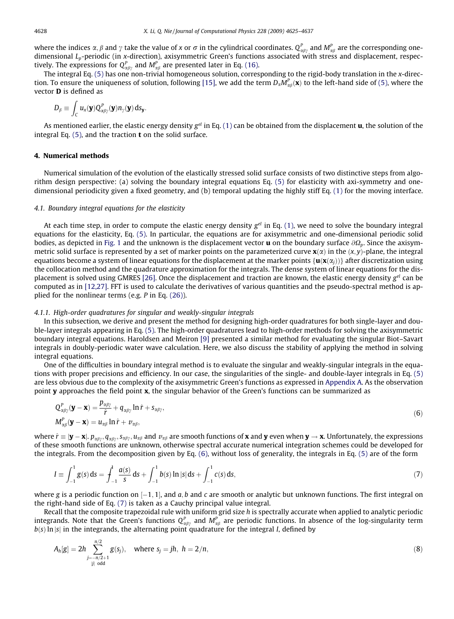<span id="page-3-0"></span>where the indices  $\alpha,\beta$  and  $\gamma$  take the value of x or  $\sigma$  in the cylindrical coordinates.  $Q^P_{\alpha\beta\gamma}$  and  $M^P_{\alpha\beta}$  are the corresponding onedimensional  $L_p$ -periodic (in x-direction), axisymmetric Green's functions associated with stress and displacement, respectively. The expressions for  $Q_{\alpha\beta\gamma}^P$  and  $M_{\alpha\beta}^P$  are presented later in Eq. [\(16\).](#page-5-0)

The integral Eq. [\(5\)](#page-2-0) has one non-trivial homogeneous solution, corresponding to the rigid-body translation in the x-direc-tion. To ensure the uniqueness of solution, following [\[15\]](#page-12-0), we add the term  $D_xM_{\alpha\beta}^P({\bf x})$  to the left-hand side of [\(5\),](#page-2-0) where the vector D is defined as

$$
D_{\beta} \equiv \int_{C} u_{x}(\mathbf{y}) Q_{x\beta\gamma}^{P}(\mathbf{y}) n_{\gamma}(\mathbf{y}) \, \mathrm{d} s_{\mathbf{y}}.
$$

As mentioned earlier, the elastic energy density  $g^{el}$  in Eq. [\(1\)](#page-1-0) can be obtained from the displacement **u**, the solution of the integral Eq.  $(5)$ , and the traction **t** on the solid surface.

# 4. Numerical methods

Numerical simulation of the evolution of the elastically stressed solid surface consists of two distinctive steps from algorithm design perspective: (a) solving the boundary integral equations Eq. [\(5\)](#page-2-0) for elasticity with axi-symmetry and onedimensional periodicity given a fixed geometry, and (b) temporal updating the highly stiff Eq. [\(1\)](#page-1-0) for the moving interface.

# 4.1. Boundary integral equations for the elasticity

At each time step, in order to compute the elastic energy density  $g^{el}$  in Eq. [\(1\),](#page-1-0) we need to solve the boundary integral equations for the elasticity, Eq. [\(5\).](#page-2-0) In particular, the equations are for axisymmetric and one-dimensional periodic solid bodies, as depicted in [Fig. 1](#page-2-0) and the unknown is the displacement vector **u** on the boundary surface  $\partial\Omega_p$ . Since the axisymmetric solid surface is represented by a set of marker points on the parameterized curve  $\mathbf{x}(\alpha)$  in the  $(x, y)$ -plane, the integral equations become a system of linear equations for the displacement at the marker points  $\{u(x(\alpha_i))\}$  after discretization using the collocation method and the quadrature approximation for the integrals. The dense system of linear equations for the dis-placement is solved using GMRES [\[26\]](#page-12-0). Once the displacement and traction are known, the elastic energy density  $g^{el}$  can be computed as in [\[12,27\].](#page-12-0) FFT is used to calculate the derivatives of various quantities and the pseudo-spectral method is applied for the nonlinear terms (e.g. P in Eq. [\(26\)](#page-7-0)).

## 4.1.1. High-order quadratures for singular and weakly-singular integrals

In this subsection, we derive and present the method for designing high-order quadratures for both single-layer and double-layer integrals appearing in Eq. [\(5\).](#page-2-0) The high-order quadratures lead to high-order methods for solving the axisymmetric boundary integral equations. Haroldsen and Meiron [\[9\]](#page-12-0) presented a similar method for evaluating the singular Biot–Savart integrals in doubly-periodic water wave calculation. Here, we also discuss the stability of applying the method in solving integral equations.

One of the difficulties in boundary integral method is to evaluate the singular and weakly-singular integrals in the equations with proper precisions and efficiency. In our case, the singularities of the single- and double-layer integrals in Eq. [\(5\)](#page-2-0) are less obvious due to the complexity of the axisymmetric Green's functions as expressed in Appendix A. As the observation point  $\bf{v}$  approaches the field point  $\bf{x}$ , the singular behavior of the Green's functions can be summarized as

$$
Q_{\alpha\beta\gamma}^{P}(\mathbf{y}-\mathbf{x}) = \frac{p_{\alpha\beta\gamma}}{\hat{r}} + q_{\alpha\beta\gamma} \ln \hat{r} + s_{\alpha\beta\gamma},
$$
  

$$
M_{\alpha\beta}^{P}(\mathbf{y}-\mathbf{x}) = u_{\alpha\beta} \ln \hat{r} + v_{\alpha\beta},
$$

$$
(6)
$$

where  $\hat{r} \equiv |\mathbf{y} - \mathbf{x}|$ .  $p_{\alpha\beta\gamma}$ ,  $q_{\alpha\beta\gamma}$ ,  $a_{\alpha\beta}$  and  $v_{\alpha\beta}$  are smooth functions of **x** and **y** even when  $\mathbf{y} \to \mathbf{x}$ . Unfortunately, the expressions of these smooth functions are unknown, otherwise spectral accurate numerical integration schemes could be developed for the integrals. From the decomposition given by Eq. (6), without loss of generality, the integrals in Eq. [\(5\)](#page-2-0) are of the form

$$
I = \int_{-1}^{1} g(s) \, ds = \int_{-1}^{1} \frac{a(s)}{s} \, ds + \int_{-1}^{1} b(s) \ln|s| \, ds + \int_{-1}^{1} c(s) \, ds,\tag{7}
$$

where g is a periodic function on  $[-1, 1]$ , and a, b and c are smooth or analytic but unknown functions. The first integral on the right-hand side of Eq. (7) is taken as a Cauchy principal value integral.

Recall that the composite trapezoidal rule with uniform grid size h is spectrally accurate when applied to analytic periodic integrands. Note that the Green's functions  $Q^P_{\alpha\beta\gamma}$  and  $M^P_{\alpha\beta}$  are periodic functions. In absence of the log-singularity term  $b(s)$  ln |s| in the integrands, the alternating point quadrature for the integral *I*, defined by

$$
A_h[g] = 2h \sum_{\substack{j=-n/2+1 \ j \text{ odd}}}^{n/2} g(s_j), \quad \text{where } s_j = jh, \ h = 2/n,
$$
\n(8)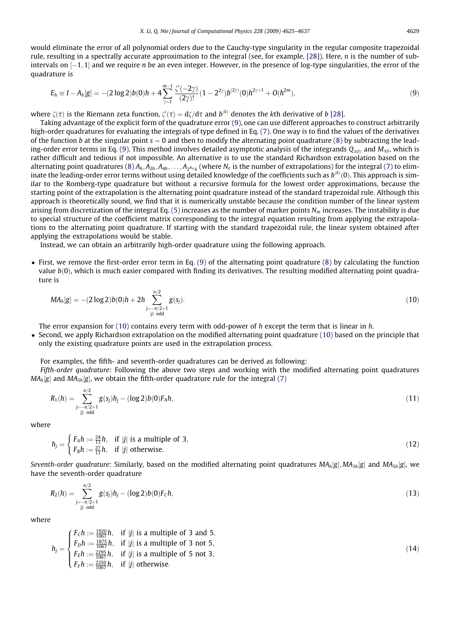<span id="page-4-0"></span>would eliminate the error of all polynomial orders due to the Cauchy-type singularity in the regular composite trapezoidal rule, resulting in a spectrally accurate approximation to the integral (see, for example, [\[28\]](#page-12-0)). Here, n is the number of subintervals on  $[-1, 1]$  and we require n be an even integer. However, in the presence of log-type singularities, the error of the quadrature is

$$
E_h \equiv I - A_h[g] = -(2\log 2)b(0)h + 4\sum_{\gamma=1}^{m-1} \frac{\zeta'(-2\gamma)}{(2\gamma)!} (1 - 2^{2\gamma})b^{(2\gamma)}(0)h^{2\gamma+1} + O(h^{2m}), \tag{9}
$$

where  $\zeta(\tau)$  is the Riemann zeta function,  $\zeta'(\tau)=\mathrm{d}\zeta/\mathrm{d}\tau$  and  $b^{(k)}$  denotes the kth derivative of  $b$  [\[28\]](#page-12-0).

Taking advantage of the explicit form of the quadrature error (9), one can use different approaches to construct arbitrarily high-order quadratures for evaluating the integrals of type defined in Eq. [\(7\)](#page-3-0). One way is to find the values of the derivatives of the function b at the singular point  $s = 0$  and then to modify the alternating point quadrature [\(8\)](#page-3-0) by subtracting the leading-order error terms in Eq. (9). This method involves detailed asymptotic analysis of the integrands  $Q_{\alpha\beta\gamma}$  and  $M_{\alpha\beta}$ , which is rather difficult and tedious if not impossible. An alternative is to use the standard Richardson extrapolation based on the alternating point quadratures [\(8\)](#page-3-0)  $A_h$ ,  $A_{2h}$ ,  $A_{4h}$ , ...,  $A_{2^{N_c}h}$  (where  $N_e$  is the number of extrapolations) for the integral [\(7\)](#page-3-0) to eliminate the leading-order error terms without using detailed knowledge of the coefficients such as  $b^{(k)}(0).$  This approach is similar to the Romberg-type quadrature but without a recursive formula for the lowest order approximations, because the starting point of the extrapolation is the alternating point quadrature instead of the standard trapezoidal rule. Although this approach is theoretically sound, we find that it is numerically unstable because the condition number of the linear system arising from discretization of the integral Eq. [\(5\)](#page-2-0) increases as the number of marker points  $N_m$  increases. The instability is due to special structure of the coefficient matrix corresponding to the integral equation resulting from applying the extrapolations to the alternating point quadrature. If starting with the standard trapezoidal rule, the linear system obtained after applying the extrapolations would be stable.

Instead, we can obtain an arbitrarily high-order quadrature using the following approach.

 First, we remove the first-order error term in Eq. (9) of the alternating point quadrature [\(8\)](#page-3-0) by calculating the function value  $b(0)$ , which is much easier compared with finding its derivatives. The resulting modified alternating point quadrature is

$$
MA_h[g] = -(2\log 2)b(0)h + 2h \sum_{\substack{j=-n/2+1\\|j|\text{ odd}}}^{n/2} g(s_j).
$$
\n(10)

The error expansion for  $(10)$  contains every term with odd-power of h except the term that is linear in h.

 Second, we apply Richardson extrapolation on the modified alternating point quadrature (10) based on the principle that only the existing quadrature points are used in the extrapolation process.

For examples, the fifth- and seventh-order quadratures can be derived as following:

Fifth-order quadrature: Following the above two steps and working with the modified alternating point quadratures  $MA<sub>h</sub>[g]$  and  $MA<sub>3h</sub>[g]$ , we obtain the fifth-order quadrature rule for the integral [\(7\)](#page-3-0)

$$
R_1(h) = \sum_{\substack{j=-n/2+1 \ j \mid \text{ odd}}}^{n/2} g(s_j)h_j - (\log 2)b(0)F_Ah,\tag{11}
$$

where

$$
h_j = \begin{cases} F_A h := \frac{24}{13} h, & \text{if } |j| \text{ is a multiple of 3,} \\ F_B h := \frac{27}{13} h, & \text{if } |j| \text{ otherwise.} \end{cases}
$$
(12)

Seventh-order quadrature: Similarly, based on the modified alternating point quadratures  $MA_h[g]$ ,  $MA_{3h}[g]$  and  $MA_{5h}[g]$ , we have the seventh-order quadrature

$$
R_2(h) = \sum_{\substack{j=-n/2+1 \ j \mid \text{ odd}}}^{n/2} g(s_j)h_j - (\log 2)b(0)F_c h,\tag{13}
$$

where

$$
h_j = \begin{cases} F_c h := \frac{1920}{1067} h, & \text{if } |j| \text{ is a multiple of 3 and 5,} \\ F_b h := \frac{1875}{1067} h, & \text{if } |j| \text{ is a multiple of 3 not 5,} \\ F_E h := \frac{2250}{1067} h, & \text{if } |j| \text{ is a multiple of 5 not 3,} \\ F_F h := \frac{2250}{1067} h, & \text{if } |j| \text{ otherwise.} \end{cases}
$$
(14)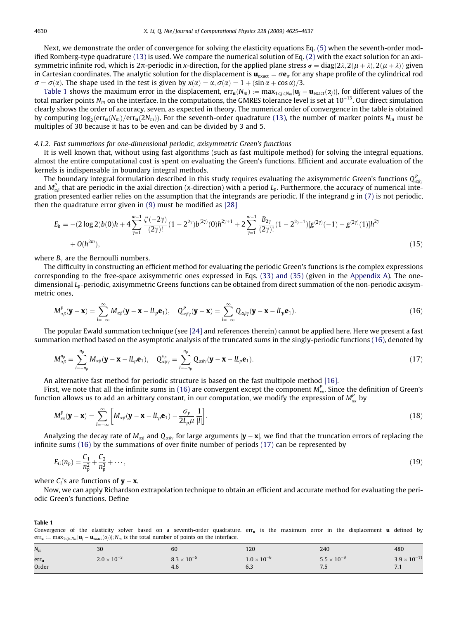<span id="page-5-0"></span>Next, we demonstrate the order of convergence for solving the elasticity equations Eq. [\(5\)](#page-2-0) when the seventh-order modified Romberg-type quadrature [\(13\)](#page-4-0) is used. We compare the numerical solution of Eq. [\(2\)](#page-2-0) with the exact solution for an axisymmetric infinite rod, which is  $2\pi$ -periodic in x-direction, for the applied plane stress  $\sigma = \text{diag}(2\lambda, 2(\mu + \lambda), 2(\mu + \lambda))$  given in Cartesian coordinates. The analytic solution for the displacement is  $\mathbf{u}_{\text{exact}} = \sigma \mathbf{e}_{\sigma}$  for any shape profile of the cylindrical rod  $\sigma = \sigma(\alpha)$ . The shape used in the test is given by  $x(\alpha) = \alpha$ ,  $\sigma(\alpha) = 1 + (\sin \alpha + \cos \alpha)/3$ .

Table 1 shows the maximum error in the displacement,  $err_u(N_m) := max_{1 \le i \le N_m} |\mathbf{u}_i - \mathbf{u}_{exact}(\alpha_i)|$ , for different values of the total marker points  $N_m$  on the interface. In the computations, the GMRES tolerance level is set at  $10^{-13}$ . Our direct simulation clearly shows the order of accuracy, seven, as expected in theory. The numerical order of convergence in the table is obtained by computing  $\log_2(\text{err}_{\textbf{u}}(N_m)/\text{err}_{\textbf{u}}(2N_m))$ . For the seventh-order quadrature [\(13\),](#page-4-0) the number of marker points N<sub>m</sub> must be multiples of 30 because it has to be even and can be divided by 3 and 5.

### 4.1.2. Fast summations for one-dimensional periodic, axisymmetric Green's functions

It is well known that, without using fast algorithms (such as fast multipole method) for solving the integral equations, almost the entire computational cost is spent on evaluating the Green's functions. Efficient and accurate evaluation of the kernels is indispensable in boundary integral methods.

The boundary integral formulation described in this study requires evaluating the axisymmetric Green's functions  $Q^P_{\alpha\beta\gamma}$ and  $M_{\alpha\beta}^P$  that are periodic in the axial direction (x-direction) with a period  $L_p$ . Furthermore, the accuracy of numerical integration presented earlier relies on the assumption that the integrands are periodic. If the integrand g in [\(7\)](#page-3-0) is not periodic, then the quadrature error given in [\(9\)](#page-4-0) must be modified as [\[28\]](#page-12-0)

$$
E_h = -(2\log 2)b(0)h + 4\sum_{\gamma=1}^{m-1} \frac{\zeta'(-2\gamma)}{(2\gamma)!}(1-2^{2\gamma})b^{(2\gamma)}(0)h^{2\gamma+1} + 2\sum_{\gamma=1}^{m-1} \frac{B_{2\gamma}}{(2\gamma)!}(1-2^{2\gamma-1})[g^{(2\gamma)}(-1)-g^{(2\gamma)}(1)]h^{2\gamma} + O(h^{2m}),
$$
\n(15)

where  $B<sub>0</sub>$  are the Bernoulli numbers.

The difficulty in constructing an efficient method for evaluating the periodic Green's functions is the complex expressions corresponding to the free-space axisymmetric ones expressed in Eqs. [\(33\) and \(35\)](#page-11-0) (given in the Appendix A). The onedimensional  $L<sub>n</sub>$ -periodic, axisymmetric Greens functions can be obtained from direct summation of the non-periodic axisymmetric ones,

$$
M_{\alpha\beta}^P(\mathbf{y}-\mathbf{x}) = \sum_{l=-\infty}^{\infty} M_{\alpha\beta}(\mathbf{y}-\mathbf{x}-ll_p\mathbf{e}_1), \quad Q_{\alpha\beta\gamma}^P(\mathbf{y}-\mathbf{x}) = \sum_{l=-\infty}^{\infty} Q_{\alpha\beta\gamma}(\mathbf{y}-\mathbf{x}-ll_p\mathbf{e}_1).
$$
 (16)

The popular Ewald summation technique (see [\[24\]](#page-12-0) and references therein) cannot be applied here. Here we present a fast summation method based on the asymptotic analysis of the truncated sums in the singly-periodic functions (16), denoted by

$$
M_{\alpha\beta}^{n_p} = \sum_{l=-n_p}^{n_p} M_{\alpha\beta} (\mathbf{y} - \mathbf{x} - l L_p \mathbf{e}_1), \quad Q_{\alpha\beta\gamma}^{n_p} = \sum_{l=-n_p}^{n_p} Q_{\alpha\beta\gamma} (\mathbf{y} - \mathbf{x} - l L_p \mathbf{e}_1).
$$
\n(17)

An alternative fast method for periodic structure is based on the fast multipole method [\[16\].](#page-12-0)

First, we note that all the infinite sums in (16) are convergent except the component  $M^p_{xx}$ . Since the definition of Green's function allows us to add an arbitrary constant, in our computation, we modify the expression of  $M_{\text{\tiny{XX}}}^{\text{P}}$  by

$$
M_{xx}^P(\mathbf{y}-\mathbf{x}) = \sum_{l=-\infty}^{\infty} \left[ M_{\alpha\beta}(\mathbf{y}-\mathbf{x}-ll_p\mathbf{e}_1) - \frac{\sigma_y}{2L_p\mu} \frac{1}{|l|} \right].
$$
\n(18)

Analyzing the decay rate of  $M_{\alpha\beta}$  and  $Q_{\alpha\beta\gamma}$  for large arguments  $|{\bf y}-{\bf x}|$ , we find that the truncation errors of replacing the infinite sums (16) by the summations of over finite number of periods (17) can be represented by

$$
E_G(n_p) = \frac{C_1}{n_p^2} + \frac{C_2}{n_p^3} + \cdots,\tag{19}
$$

where  $C_i$ 's are functions of  $\mathbf{v} - \mathbf{x}$ .

Now, we can apply Richardson extrapolation technique to obtain an efficient and accurate method for evaluating the periodic Green's functions. Define

#### Table 1

Convergence of the elasticity solver based on a seventh-order quadrature.  $err_u$  is the maximum error in the displacement  $u$  defined by  $err_{\bf{u}} := \max_{1 \leq j \leq N_m} |{\bf{u}}_j - {\bf{u}}_{\rm exact}(\alpha_j)|; N_m$  is the total number of points on the interface.

| $N_m$              | 30                   | 60                               | 120                       | 240                          | 480                                       |
|--------------------|----------------------|----------------------------------|---------------------------|------------------------------|-------------------------------------------|
| $err_{u}$<br>Order | $2.0 \times 10^{-3}$ | $8.3 \times$<br>$10^{-5}$<br>4.6 | $1.0\times10^{-6}$<br>U.J | $5.5 \times 10^{-9}$<br>ر. ا | $3.9 \times 10^{-11}$<br>$\overline{1}$ . |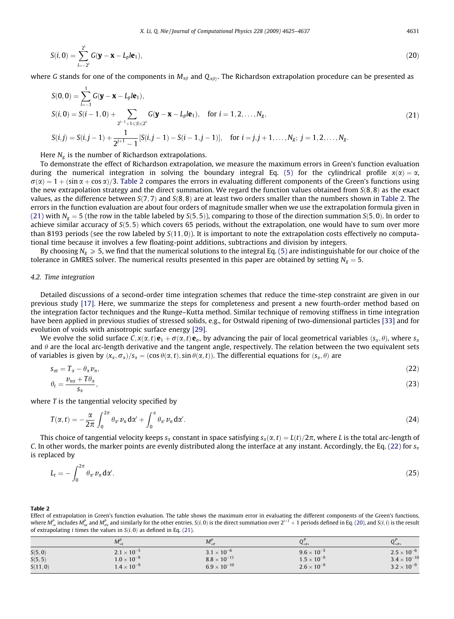$$
S(i,0)=\sum_{l=-2^i}^{2^i} G(\mathbf{y}-\mathbf{x}-L_p\mathbf{I}\mathbf{e}_1),
$$
\n(20)

where G stands for one of the components in  $M_{\alpha\beta}$  and  $Q_{\alpha\beta}$ . The Richardson extrapolation procedure can be presented as

$$
S(0,0) = \sum_{l=-1}^{1} G(\mathbf{y} - \mathbf{x} - L_p l \mathbf{e}_1),
$$
  
\n
$$
S(i,0) = S(i-1,0) + \sum_{2^{i-1}+1 \le |l| \le 2^{i}} G(\mathbf{y} - \mathbf{x} - L_p l \mathbf{e}_1), \text{ for } i = 1,2,...,N_g,
$$
  
\n
$$
S(i,j) = S(i,j-1) + \frac{1}{2^{j+1}-1} [S(i,j-1) - S(i-1,j-1)], \text{ for } i = j, j+1,...,N_g; j = 1,2,...,N_g.
$$
\n(21)

Here  $N_g$  is the number of Richardson extrapolations.

To demonstrate the effect of Richardson extrapolation, we measure the maximum errors in Green's function evaluation during the numerical integration in solving the boundary integral Eq. [\(5\)](#page-2-0) for the cylindrical profile  $x(\alpha) = \alpha$ ,  $\sigma(\alpha) = 1 + (\sin \alpha + \cos \alpha)/3$ . Table 2 compares the errors in evaluating different components of the Green's functions using the new extrapolation strategy and the direct summation. We regard the function values obtained from  $S(8, 8)$  as the exact values, as the difference between  $S(7, 7)$  and  $S(8, 8)$  are at least two orders smaller than the numbers shown in Table 2. The errors in the function evaluation are about four orders of magnitude smaller when we use the extrapolation formula given in (21) with  $N_g = 5$  (the row in the table labeled by  $S(5, 5)$ ), comparing to those of the direction summation  $S(5, 0)$ . In order to achieve similar accuracy of  $S(5, 5)$  which covers 65 periods, without the extrapolation, one would have to sum over more than 8193 periods (see the row labeled by  $S(11, 0)$ ). It is important to note the extrapolation costs effectively no computational time because it involves a few floating-point additions, subtractions and division by integers.

By choosing  $N_g \ge 5$ , we find that the numerical solutions to the integral Eq. [\(5\)](#page-2-0) are indistinguishable for our choice of the tolerance in GMRES solver. The numerical results presented in this paper are obtained by setting  $N_g = 5$ .

#### 4.2. Time integration

Detailed discussions of a second-order time integration schemes that reduce the time-step constraint are given in our previous study [\[17\].](#page-12-0) Here, we summarize the steps for completeness and present a new fourth-order method based on the integration factor techniques and the Runge–Kutta method. Similar technique of removing stiffness in time integration have been applied in previous studies of stressed solids, e.g., for Ostwald ripening of two-dimensional particles [\[33\]](#page-12-0) and for evolution of voids with anisotropic surface energy [\[29\]](#page-12-0).

We evolve the solid surface C,  $x(\alpha, t) \mathbf{e}_1 + \sigma(\alpha, t) \mathbf{e}_\alpha$ , by advancing the pair of local geometrical variables  $(s_\alpha, \theta)$ , where  $s_\alpha$ and  $\theta$  are the local arc-length derivative and the tangent angle, respectively. The relation between the two equivalent sets of variables is given by  $(x_{\alpha}, \sigma_{\alpha})/s_{\alpha} = (\cos \theta(\alpha, t), \sin \theta(\alpha, t))$ . The differential equations for  $(s_{\alpha}, \theta)$  are

$$
s_{\alpha t} = T_{\alpha} - \theta_{\alpha} v_{n},
$$
  
\n
$$
\theta_{t} = \frac{v_{n\alpha} + T\theta_{\alpha}}{s_{\alpha}},
$$
\n(22)

where  $T$  is the tangential velocity specified by

$$
T(\alpha, t) = -\frac{\alpha}{2\pi} \int_0^{2\pi} \theta_{\alpha'} \nu_n d\alpha' + \int_0^{\alpha} \theta_{\alpha'} \nu_n d\alpha'.
$$
 (24)

This choice of tangential velocity keeps  $s_\alpha$  constant in space satisfying  $s_\alpha(\alpha, t) = L(t)/2\pi$ , where L is the total arc-length of C. In other words, the marker points are evenly distributed along the interface at any instant. Accordingly, the Eq. (22) for  $s_\alpha$ is replaced by

$$
L_t = -\int_0^{2\pi} \theta_{\alpha'} \, v_n \, \mathrm{d}\alpha'.\tag{25}
$$

#### Table 2

Effect of extrapolation in Green's function evaluation. The table shows the maximum error in evaluating the different components of the Green's functions, where  $M_{\nu_X}^p$  includes  $M_{\nu_X}^p$  and  $M_{\nu_X}^p$  and similarly for the other entries. S(i, 0) is the direct summation over  $2^{i+1}+1$  periods defined in Eq. (20), and S(i, i) is the result of extrapolating *i* times the values in  $S(i, 0)$  as defined in Eq. (21).

|         | $M_{*x}^P$           | $M^P_{\ast \sigma}$   | $\mathsf{v}_{\ast \chi_\ast}$ | $Q_{\ast \sigma \ast}^P$ |
|---------|----------------------|-----------------------|-------------------------------|--------------------------|
| S(5, 0) | $2.1 \times 10^{-5}$ | $3.1 \times 10^{-6}$  | $9.6 \times 10^{-5}$          | $2.5 \times 10^{-6}$     |
| S(5, 5) | $1.0\times10^{-9}$   | $8.8 \times 10^{-11}$ | $1.5 \times 10^{-9}$          | $3.4 \times 10^{-10}$    |
| S(11,0) | $1.4 \times 10^{-9}$ | $6.9 \times 10^{-10}$ | $2.6 \times 10^{-9}$          | $3.2 \times 10^{-9}$     |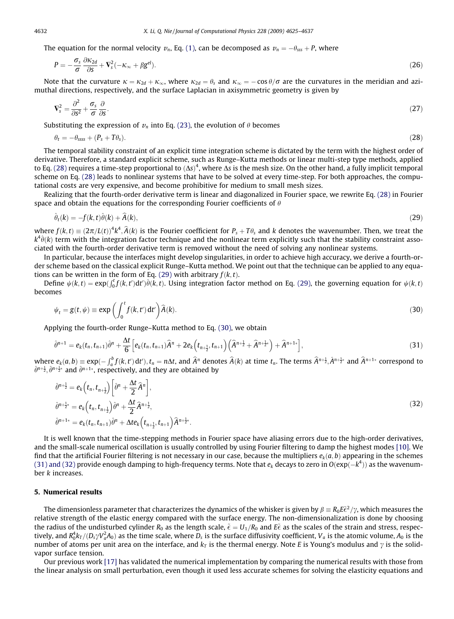<span id="page-7-0"></span>The equation for the normal velocity  $v_n$ , Eq. [\(1\),](#page-1-0) can be decomposed as  $v_n = -\theta_{\rm sss} + P$ , where

$$
P = -\frac{\sigma_s}{\sigma} \frac{\partial \kappa_{2d}}{\partial s} + \mathbf{\nabla}_s^2 (-\kappa_\infty + \beta g^{el}). \tag{26}
$$

Note that the curvature  $\kappa = \kappa_{2d} + \kappa_{\infty}$ , where  $\kappa_{2d} = \theta_s$  and  $\kappa_{\infty} = -\cos \theta/\sigma$  are the curvatures in the meridian and azimuthal directions, respectively, and the surface Laplacian in axisymmetric geometry is given by

$$
\nabla_s^2 = \frac{\partial^2}{\partial s^2} + \frac{\sigma_s}{\sigma} \frac{\partial}{\partial s}.
$$
\n(27)

Substituting the expression of  $v_n$  into Eq. (23), the evolution of  $\theta$  becomes

$$
\theta_t = -\theta_{\text{ssss}} + (P_s + T\theta_s). \tag{28}
$$

The temporal stability constraint of an explicit time integration scheme is dictated by the term with the highest order of derivative. Therefore, a standard explicit scheme, such as Runge–Kutta methods or linear multi-step type methods, applied to Eq. (28) requires a time-step proportional to (Δs)<sup>4</sup>, where Δs is the mesh size. On the other hand, a fully implicit temporal scheme on Eq. (28) leads to nonlinear systems that have to be solved at every time-step. For both approaches, the computational costs are very expensive, and become prohibitive for medium to small mesh sizes.

Realizing that the fourth-order derivative term is linear and diagonalized in Fourier space, we rewrite Eq. (28) in Fourier space and obtain the equations for the corresponding Fourier coefficients of  $\theta$ 

$$
\hat{\theta}_t(k) = -f(k, t)\hat{\theta}(k) + \hat{A}(k),\tag{29}
$$

where  $f(k,t)\equiv (2\pi/L(t))^4k^4,\widehat{A}(k)$  is the Fourier coefficient for  $P_s+T\theta_s$  and k denotes the wavenumber. Then, we treat the  $k^4\hat{\theta}(k)$  term with the integration factor technique and the nonlinear term explicitly such that the stability constraint associated with the fourth-order derivative term is removed without the need of solving any nonlinear systems.

In particular, because the interfaces might develop singularities, in order to achieve high accuracy, we derive a fourth-order scheme based on the classical explicit Runge–Kutta method. We point out that the technique can be applied to any equations can be written in the form of Eq. (29) with arbitrary  $f(k, t)$ .

Define  $\psi(k,t) = \exp(\int_0^t f(k,t')dt')\hat{\theta}(k,t)$ . Using integration factor method on Eq. (29), the governing equation for  $\psi(k,t)$ becomes

$$
\psi_t = g(t, \psi) \equiv \exp\left(\int_0^t f(k, t') dt'\right) \widehat{A}(k).
$$
\n(30)

Applying the fourth-order Runge–Kutta method to Eq. (30), we obtain

$$
\hat{\theta}^{n+1} = e_k(t_n, t_{n+1})\hat{\theta}^n + \frac{\Delta t}{6} \left[ e_k(t_n, t_{n+1})\hat{A}^n + 2e_k\left(t_{n+\frac{1}{2}}, t_{n+1}\right) \left(\hat{A}^{n+\frac{1}{2}} + \hat{A}^{n+\frac{1}{2}*}\right) + \hat{A}^{n+1*} \right],
$$
\n(31)

where  $e_k(a,b) \equiv \exp(-\int_a^b f(k,t') dt')$ ,  $t_n = n\Delta t$ , and  $\widehat{A}^n$  denotes  $\widehat{A}(k)$  at time  $t_n$ . The terms  $\widehat{A}^{n+\frac{1}{2}}$ ,  $\widehat{A}^{n+\frac{1}{2}}$  and  $\widehat{A}^{n+1*}$  correspond to  $\hat{\theta}^{n+\frac{1}{2}}, \hat{\theta}^{n+\frac{1}{2}*}$  and  $\hat{\theta}^{n+1*}$ , respectively, and they are obtained by

$$
\hat{\theta}^{n+\frac{1}{2}} = e_k \left( t_n, t_{n+\frac{1}{2}} \right) \left[ \hat{\theta}^n + \frac{\Delta t}{2} \hat{A}^n \right],
$$
\n
$$
\hat{\theta}^{n+\frac{1}{2}*} = e_k \left( t_n, t_{n+\frac{1}{2}} \right) \hat{\theta}^n + \frac{\Delta t}{2} \hat{A}^{n+\frac{1}{2}},
$$
\n
$$
\hat{\theta}^{n+1*} = e_k (t_n, t_{n+1}) \hat{\theta}^n + \Delta t e_k \left( t_{n+\frac{1}{2}}, t_{n+1} \right) \hat{A}^{n+\frac{1}{2}*}.
$$
\n(32)

It is well known that the time-stepping methods in Fourier space have aliasing errors due to the high-order derivatives, and the small-scale numerical oscillation is usually controlled by using Fourier filtering to damp the highest modes [\[10\].](#page-12-0) We find that the artificial Fourier filtering is not necessary in our case, because the multipliers  $e_k(a, b)$  appearing in the schemes (31) and (32) provide enough damping to high-frequency terms. Note that  $e_k$  decays to zero in  $O(\exp(-k^4))$  as the wavenumber k increases.

# 5. Numerical results

The dimensionless parameter that characterizes the dynamics of the whisker is given by  $\beta\equiv R_0E\tilde\epsilon^2/\gamma$ , which measures the relative strength of the elastic energy compared with the surface energy. The non-dimensionalization is done by choosing the radius of the undisturbed cylinder  $R_0$  as the length scale,  $\tilde{\epsilon}=U_1/R_0$  and  $E\tilde{\epsilon}$  as the scales of the strain and stress, respectively, and  $R_0^4k_T/(D_s\gamma V_a^2A_0)$  as the time scale, where  $D_s$  is the surface diffusivity coefficient,  $V_a$  is the atomic volume,  $A_0$  is the number of atoms per unit area on the interface, and  $k<sub>T</sub>$  is the thermal energy. Note E is Young's modulus and  $\gamma$  is the solidvapor surface tension.

Our previous work [\[17\]](#page-12-0) has validated the numerical implementation by comparing the numerical results with those from the linear analysis on small perturbation, even though it used less accurate schemes for solving the elasticity equations and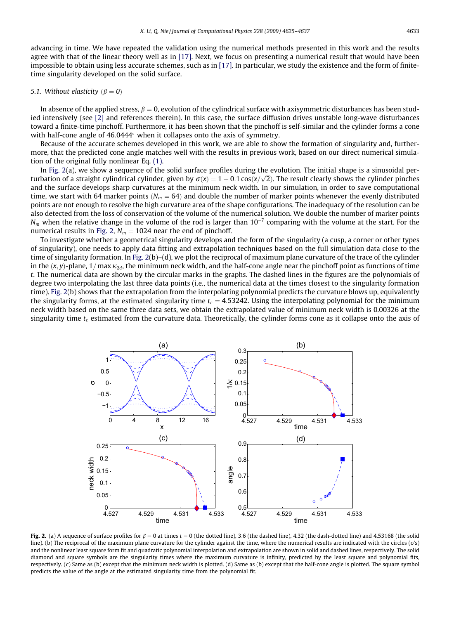<span id="page-8-0"></span>advancing in time. We have repeated the validation using the numerical methods presented in this work and the results agree with that of the linear theory well as in [\[17\].](#page-12-0) Next, we focus on presenting a numerical result that would have been impossible to obtain using less accurate schemes, such as in [\[17\]](#page-12-0). In particular, we study the existence and the form of finitetime singularity developed on the solid surface.

# 5.1. Without elasticity  $(\beta = 0)$

In absence of the applied stress,  $\beta = 0$ , evolution of the cylindrical surface with axisymmetric disturbances has been studied intensively (see [\[2\]](#page-12-0) and references therein). In this case, the surface diffusion drives unstable long-wave disturbances toward a finite-time pinchoff. Furthermore, it has been shown that the pinchoff is self-similar and the cylinder forms a cone with half-cone angle of  $46.0444^\circ$  when it collapses onto the axis of symmetry.

Because of the accurate schemes developed in this work, we are able to show the formation of singularity and, furthermore, that the predicted cone angle matches well with the results in previous work, based on our direct numerical simulation of the original fully nonlinear Eq. [\(1\)](#page-1-0).

In Fig. 2(a), we show a sequence of the solid surface profiles during the evolution. The initial shape is a sinusoidal per-In Fig.  $z(a)$ , we show a sequence of the solid surface profiles during the evolution. The finitial shape is a sinusoidal per-<br>turbation of a straight cylindrical cylinder, given by  $\sigma(x) = 1 + 0.1 \cos(x/\sqrt{2})$ . The result clear and the surface develops sharp curvatures at the minimum neck width. In our simulation, in order to save computational time, we start with 64 marker points  $(N_m = 64)$  and double the number of marker points whenever the evenly distributed points are not enough to resolve the high curvature area of the shape configurations. The inadequacy of the resolution can be also detected from the loss of conservation of the volume of the numerical solution. We double the number of marker points  $N_m$  when the relative change in the volume of the rod is larger than 10<sup>-7</sup> comparing with the volume at the start. For the numerical results in Fig. 2,  $N_m = 1024$  near the end of pinchoff.

To investigate whether a geometrical singularity develops and the form of the singularity (a cusp, a corner or other types of singularity), one needs to apply data fitting and extrapolation techniques based on the full simulation data close to the time of singularity formation. In Fig. 2(b)–(d), we plot the reciprocal of maximum plane curvature of the trace of the cylinder in the  $(x, y)$ -plane,  $1/\max \kappa_{2d}$ , the minimum neck width, and the half-cone angle near the pinchoff point as functions of time t. The numerical data are shown by the circular marks in the graphs. The dashed lines in the figures are the polynomials of degree two interpolating the last three data points (i.e., the numerical data at the times closest to the singularity formation time). Fig. 2(b) shows that the extrapolation from the interpolating polynomial predicts the curvature blows up, equivalently the singularity forms, at the estimated singularity time  $t_c = 4.53242$ . Using the interpolating polynomial for the minimum neck width based on the same three data sets, we obtain the extrapolated value of minimum neck width is 0.00326 at the singularity time  $t_c$  estimated from the curvature data. Theoretically, the cylinder forms cone as it collapse onto the axis of



Fig. 2. (a) A sequence of surface profiles for  $\beta = 0$  at times  $t = 0$  (the dotted line), 3.6 (the dashed line), 4.32 (the dash-dotted line) and 4.53168 (the solid line). (b) The reciprocal of the maximum plane curvature for the cylinder against the time, where the numerical results are indicated with the circles (o's) and the nonlinear least square form fit and quadratic polynomial interpolation and extrapolation are shown in solid and dashed lines, respectively. The solid diamond and square symbols are the singularity times where the maximum curvature is infinity, predicted by the least square and polynomial fits, respectively. (c) Same as (b) except that the minimum neck width is plotted. (d) Same as (b) except that the half-cone angle is plotted. The square symbol predicts the value of the angle at the estimated singularity time from the polynomial fit.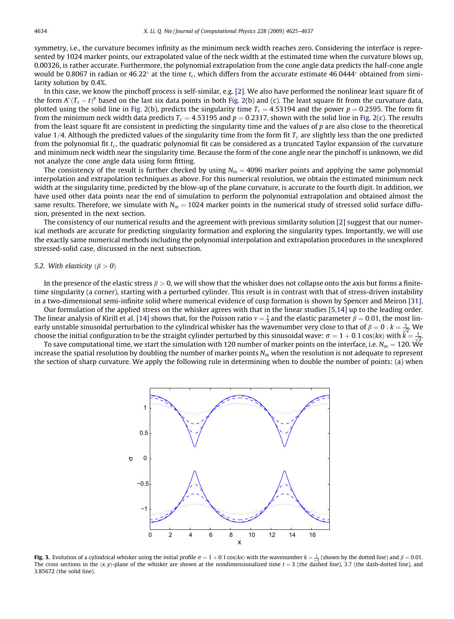<span id="page-9-0"></span>symmetry, i.e., the curvature becomes infinity as the minimum neck width reaches zero. Considering the interface is represented by 1024 marker points, our extrapolated value of the neck width at the estimated time when the curvature blows up, 0.00326, is rather accurate. Furthermore, the polynomial extrapolation from the cone angle data predicts the half-cone angle would be 0.8067 in radian or 46.22 $\degree$  at the time t<sub>c</sub>, which differs from the accurate estimate 46.0444 $\degree$  obtained from similarity solution by 0.4%.

In this case, we know the pinchoff process is self-similar, e.g. [\[2\].](#page-12-0) We also have performed the nonlinear least square fit of the form  $A^*(T_c-t)^p$  based on the last six data points in both [Fig. 2\(](#page-8-0)b) and (c). The least square fit from the curvature data, plotted using the solid line in [Fig. 2\(](#page-8-0)b), predicts the singularity time  $T_c = 4.53194$  and the power  $p = 0.2595$ . The form fit from the minimum neck width data predicts  $T_c = 4.53195$  and  $p = 0.2317$ , shown with the solid line in [Fig. 2\(](#page-8-0)c). The results from the least square fit are consistent in predicting the singularity time and the values of  $p$  are also close to the theoretical value  $1/4$ . Although the predicted values of the singularity time from the form fit  $T_c$  are slightly less than the one predicted from the polynomial fit  $t_c$ , the quadratic polynomial fit can be considered as a truncated Taylor expansion of the curvature and minimum neck width near the singularity time. Because the form of the cone angle near the pinchoff is unknown, we did not analyze the cone angle data using form fitting.

The consistency of the result is further checked by using  $N_m = 4096$  marker points and applying the same polynomial interpolation and extrapolation techniques as above. For this numerical resolution, we obtain the estimated minimum neck width at the singularity time, predicted by the blow-up of the plane curvature, is accurate to the fourth digit. In addition, we have used other data points near the end of simulation to perform the polynomial extrapolation and obtained almost the same results. Therefore, we simulate with  $N_m = 1024$  marker points in the numerical study of stressed solid surface diffusion, presented in the next section.

The consistency of our numerical results and the agreement with previous similarity solution [\[2\]](#page-12-0) suggest that our numerical methods are accurate for predicting singularity formation and exploring the singularity types. Importantly, we will use the exactly same numerical methods including the polynomial interpolation and extrapolation procedures in the unexplored stressed-solid case, discussed in the next subsection.

## 5.2. With elasticity  $(\beta > 0)$

In the presence of the elastic stress  $\beta > 0$ , we will show that the whisker does not collapse onto the axis but forms a finitetime singularity (a corner), starting with a perturbed cylinder. This result is in contrast with that of stress-driven instability in a two-dimensional semi-infinite solid where numerical evidence of cusp formation is shown by Spencer and Meiron [\[31\]](#page-12-0).

Our formulation of the applied stress on the whisker agrees with that in the linear studies [\[5,14\]](#page-12-0) up to the leading order. The linear analysis of Kirill et al. [\[14\]](#page-12-0) shows that, for the Poisson ratio  $v=\frac{1}{3}$  and the elastic parameter  $\beta=0.01$ , the most linearly unstable sinusoidal perturbation to the cylindrical whisker has the wavenumber very close to that of  $\beta = 0 : k = \frac{1}{\sqrt{2}}$ . We choose the initial configuration to be the straight cylinder perturbed by this sinusoidal wave:  $\sigma = 1 + 0.1 \cos(kx)$  with  $k = \frac{1}{\sqrt{2}}$ .

To save computational time, we start the simulation with 120 number of marker points on the interface, i.e.  $N_m = 120$ . We the simulation with 120 number of marker points on the interface, i.e.  $N_m = 120$ . We increase the spatial resolution by doubling the number of marker points  $N_m$  when the resolution is not adequate to represent the section of sharp curvature. We apply the following rule in determining when to double the number of points: (a) when



**Fig. 3.** Evolution of a cylindrical whisker using the initial profile  $\sigma = 1 + 0.1 \cos(kx)$  with the wavenumber  $k = \frac{1}{\sqrt{2}}$  (shown by the dotted line) and  $\beta = 0.01$ . The cross sections in the  $(x, y)$ -plane of the whisker are shown at the nondimensionalized time  $t = 3$  (the dashed line), 3.7 (the dash-dotted line), and 3.85672 (the solid line).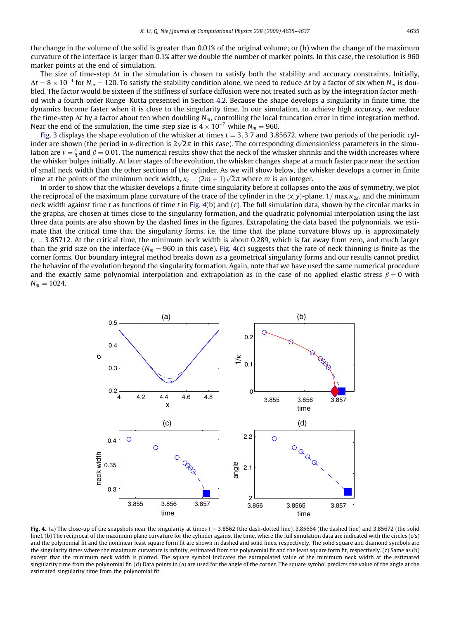<span id="page-10-0"></span>the change in the volume of the solid is greater than 0.01% of the original volume; or (b) when the change of the maximum curvature of the interface is larger than 0.1% after we double the number of marker points. In this case, the resolution is 960 marker points at the end of simulation.

The size of time-step  $\Delta t$  in the simulation is chosen to satisfy both the stability and accuracy constraints. Initially,  $\Delta t = 8 \times 10^{-4}$  for  $N_m = 120$ . To satisfy the stability condition alone, we need to reduce  $\Delta t$  by a factor of six when  $N_m$  is doubled. The factor would be sixteen if the stiffness of surface diffusion were not treated such as by the integration factor method with a fourth-order Runge–Kutta presented in Section 4.2. Because the shape develops a singularity in finite time, the dynamics become faster when it is close to the singularity time. In our simulation, to achieve high accuracy, we reduce the time-step  $\Delta t$  by a factor about ten when doubling  $N_m$ , controlling the local truncation error in time integration method. Near the end of the simulation, the time-step size is  $4 \times 10^{-7}$  while  $N_m = 960$ .

[Fig. 3](#page-9-0) displays the shape evolution of the whisker at times  $t = 3, 3.7$  and 3.85672, where two periods of the periodic cyl-Fig. 5 displays the shape evolution of the whisker at thies  $t = 3, 3.7$  and 3.83072, where two periods of the periodic cynneters in the simu-<br>inder are shown (the period in x-direction is  $2\sqrt{2}\pi$  in this case). The corr lation are  $v=\frac{1}{3}$  and  $\beta=0.01.$  The numerical results show that the neck of the whisker shrinks and the width increases where the whisker bulges initially. At later stages of the evolution, the whisker changes shape at a much faster pace near the section of small neck width than the other sections of the cylinder. As we will show below, the whisker develops a corner in finite time at the points of the minimum neck width,  $x_c = (2m + 1)\sqrt{2}\pi$  where m is an integer.

In order to show that the whisker develops a finite-time singularity before it collapses onto the axis of symmetry, we plot the reciprocal of the maximum plane curvature of the trace of the cylinder in the  $(x, y)$ -plane,  $1/max \kappa_{2d}$ , and the minimum neck width against time t as functions of time t in Fig. 4(b) and (c). The full simulation data, shown by the circular marks in the graphs, are chosen at times close to the singularity formation, and the quadratic polynomial interpolation using the last three data points are also shown by the dashed lines in the figures. Extrapolating the data based the polynomials, we estimate that the critical time that the singularity forms, i.e. the time that the plane curvature blows up, is approximately  $t_c$  = 3.85712. At the critical time, the minimum neck width is about 0.289, which is far away from zero, and much larger than the grid size on the interface ( $N_m = 960$  in this case). Fig. 4(c) suggests that the rate of neck thinning is finite as the corner forms. Our boundary integral method breaks down as a geometrical singularity forms and our results cannot predict the behavior of the evolution beyond the singularity formation. Again, note that we have used the same numerical procedure and the exactly same polynomial interpolation and extrapolation as in the case of no applied elastic stress  $\beta = 0$  with  $N_m = 1024.$ 



Fig. 4. (a) The close-up of the snapshots near the singularity at times  $t = 3.8562$  (the dash-dotted line), 3.85664 (the dashed line) and 3.85672 (the solid line). (b) The reciprocal of the maximum plane curvature for the cylinder against the time, where the full simulation data are indicated with the circles (o's) and the polynomial fit and the nonlinear least square form fit are shown in dashed and solid lines, respectively. The solid square and diamond symbols are the singularity times where the maximum curvature is infinity, estimated from the polynomial fit and the least square form fit, respectively. (c) Same as (b) except that the minimum neck width is plotted. The square symbol indicates the extrapolated value of the minimum neck width at the estimated singularity time from the polynomial fit. (d) Data points in (a) are used for the angle of the corner. The square symbol predicts the value of the angle at the estimated singularity time from the polynomial fit.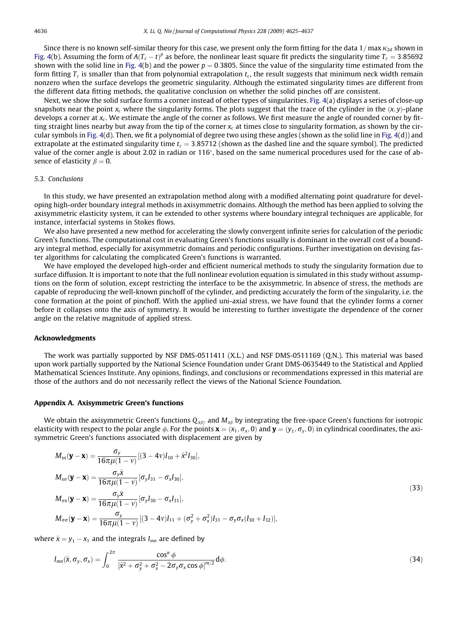<span id="page-11-0"></span>Since there is no known self-similar theory for this case, we present only the form fitting for the data  $1/max \kappa_{2d}$  shown in [Fig. 4](#page-10-0)(b). Assuming the form of  $A(T_c-t)^p$  as before, the nonlinear least square fit predicts the singularity time  $T_c = 3.85692$ shown with the solid line in [Fig. 4\(](#page-10-0)b) and the power  $p = 0.3805$ . Since the value of the singularity time estimated from the form fitting  $T_c$  is smaller than that from polynomial extrapolation  $t_c$ , the result suggests that minimum neck width remain nonzero when the surface develops the geometric singularity. Although the estimated singularity times are different from the different data fitting methods, the qualitative conclusion on whether the solid pinches off are consistent.

Next, we show the solid surface forms a corner instead of other types of singularities. [Fig. 4\(](#page-10-0)a) displays a series of close-up snapshots near the point  $x_c$  where the singularity forms. The plots suggest that the trace of the cylinder in the  $(x, y)$ -plane develops a corner at  $x_c$ . We estimate the angle of the corner as follows. We first measure the angle of rounded corner by fitting straight lines nearby but away from the tip of the corner  $x_c$  at times close to singularity formation, as shown by the circular symbols in [Fig. 4](#page-10-0)(d). Then, we fit a polynomial of degree two using these angles (shown as the solid line in [Fig. 4\(](#page-10-0)d)) and extrapolate at the estimated singularity time  $t_c = 3.85712$  (shown as the dashed line and the square symbol). The predicted value of the corner angle is about 2.02 in radian or 116 $\degree$ , based on the same numerical procedures used for the case of absence of elasticity  $\beta = 0$ .

# 5.3. Conclusions

In this study, we have presented an extrapolation method along with a modified alternating point quadrature for developing high-order boundary integral methods in axisymmetric domains. Although the method has been applied to solving the axisymmetric elasticity system, it can be extended to other systems where boundary integral techniques are applicable, for instance, interfacial systems in Stokes flows.

We also have presented a new method for accelerating the slowly convergent infinite series for calculation of the periodic Green's functions. The computational cost in evaluating Green's functions usually is dominant in the overall cost of a boundary integral method, especially for axisymmetric domains and periodic configurations. Further investigation on devising faster algorithms for calculating the complicated Green's functions is warranted.

We have employed the developed high-order and efficient numerical methods to study the singularity formation due to surface diffusion. It is important to note that the full nonlinear evolution equation is simulated in this study without assumptions on the form of solution, except restricting the interface to be the axisymmetric. In absence of stress, the methods are capable of reproducing the well-known pinchoff of the cylinder, and predicting accurately the form of the singularity, i.e. the cone formation at the point of pinchoff. With the applied uni-axial stress, we have found that the cylinder forms a corner before it collapses onto the axis of symmetry. It would be interesting to further investigate the dependence of the corner angle on the relative magnitude of applied stress.

# Acknowledgments

The work was partially supported by NSF DMS-0511411 (X.L.) and NSF DMS-0511169 (Q.N.). This material was based upon work partially supported by the National Science Foundation under Grant DMS-0635449 to the Statistical and Applied Mathematical Sciences Institute. Any opinions, findings, and conclusions or recommendations expressed in this material are those of the authors and do not necessarily reflect the views of the National Science Foundation.

## Appendix A. Axisymmetric Green's functions

We obtain the axisymmetric Green's functions  $Q_{\alpha\beta\gamma}$  and  $M_{\alpha\beta}$  by integrating the free-space Green's functions for isotropic elasticity with respect to the polar angle  $\phi$ . For the points  $\mathbf{x} = (x_1, \sigma_x, 0)$  and  $\mathbf{y} = (y_1, \sigma_y, 0)$  in cylindrical coordinates, the axisymmetric Green's functions associated with displacement are given by

$$
M_{xx}(\mathbf{y} - \mathbf{x}) = \frac{\sigma_y}{16\pi\mu(1 - v)} [(3 - 4v)I_{10} + \hat{x}^2 I_{30}],
$$
  
\n
$$
M_{x\sigma}(\mathbf{y} - \mathbf{x}) = \frac{\sigma_y \hat{x}}{16\pi\mu(1 - v)} [\sigma_y I_{31} - \sigma_x I_{30}],
$$
  
\n
$$
M_{\sigma x}(\mathbf{y} - \mathbf{x}) = \frac{\sigma_y \hat{x}}{16\pi\mu(1 - v)} [\sigma_y I_{30} - \sigma_x I_{31}],
$$
  
\n
$$
M_{\sigma\sigma}(\mathbf{y} - \mathbf{x}) = \frac{\sigma_y}{16\pi\mu(1 - v)} [(3 - 4v)I_{11} + (\sigma_y^2 + \sigma_x^2)I_{31} - \sigma_y \sigma_x (I_{30} + I_{32})],
$$
\n(33)

where  $\hat{x} = y_1 - x_1$  and the integrals  $I_{mn}$  are defined by

$$
I_{mn}(\hat{x}, \sigma_y, \sigma_x) = \int_0^{2\pi} \frac{\cos^n \phi}{\left[\hat{x}^2 + \sigma_y^2 + \sigma_x^2 - 2\sigma_y \sigma_x \cos \phi\right]^{m/2}} d\phi.
$$
 (34)